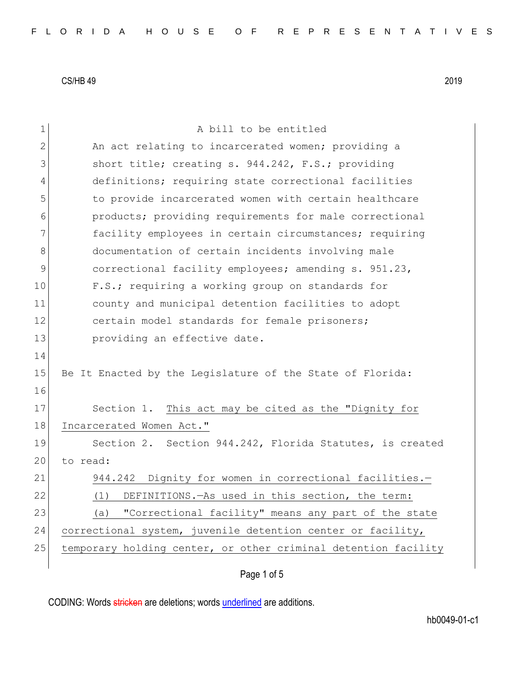| $\mathbf 1$    | A bill to be entitled                                          |
|----------------|----------------------------------------------------------------|
| $\overline{2}$ | An act relating to incarcerated women; providing a             |
| 3              | short title; creating s. 944.242, F.S.; providing              |
| 4              | definitions; requiring state correctional facilities           |
| 5              | to provide incarcerated women with certain healthcare          |
| 6              | products; providing requirements for male correctional         |
| 7              | facility employees in certain circumstances; requiring         |
| 8              | documentation of certain incidents involving male              |
| $\mathcal{G}$  | correctional facility employees; amending s. 951.23,           |
| 10             | F.S.; requiring a working group on standards for               |
| 11             | county and municipal detention facilities to adopt             |
| 12             | certain model standards for female prisoners;                  |
| 13             | providing an effective date.                                   |
| 14             |                                                                |
| 15             | Be It Enacted by the Legislature of the State of Florida:      |
| 16             |                                                                |
| 17             | Section 1. This act may be cited as the "Dignity for           |
| 18             | Incarcerated Women Act."                                       |
| 19             | Section 2. Section 944.242, Florida Statutes, is created       |
| 20             | to read:                                                       |
| 21             | 944.242 Dignity for women in correctional facilities.-         |
| 22             | (1) DEFINITIONS. - As used in this section, the term:          |
| 23             | "Correctional facility" means any part of the state<br>(a)     |
| 24             | correctional system, juvenile detention center or facility,    |
| 25             | temporary holding center, or other criminal detention facility |
|                | Page 1 of 5                                                    |
|                |                                                                |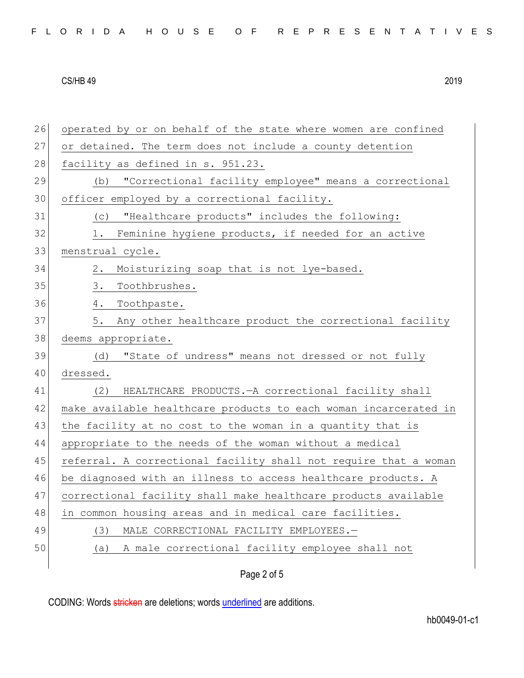| 26 | operated by or on behalf of the state where women are confined   |
|----|------------------------------------------------------------------|
| 27 | or detained. The term does not include a county detention        |
| 28 | facility as defined in s. 951.23.                                |
| 29 | "Correctional facility employee" means a correctional<br>(b)     |
| 30 | officer employed by a correctional facility.                     |
| 31 | "Healthcare products" includes the following:<br>(C)             |
| 32 | Feminine hygiene products, if needed for an active<br>1.         |
| 33 | menstrual cycle.                                                 |
| 34 | Moisturizing soap that is not lye-based.<br>2.                   |
| 35 | 3.<br>Toothbrushes.                                              |
| 36 | Toothpaste.<br>4.                                                |
| 37 | Any other healthcare product the correctional facility<br>5.     |
| 38 | deems appropriate.                                               |
| 39 | "State of undress" means not dressed or not fully<br>(d)         |
| 40 | dressed.                                                         |
| 41 | HEALTHCARE PRODUCTS. - A correctional facility shall<br>(2)      |
| 42 | make available healthcare products to each woman incarcerated in |
| 43 | the facility at no cost to the woman in a quantity that is       |
| 44 | appropriate to the needs of the woman without a medical          |
| 45 | referral. A correctional facility shall not require that a woman |
| 46 | be diagnosed with an illness to access healthcare products. A    |
| 47 | correctional facility shall make healthcare products available   |
| 48 | in common housing areas and in medical care facilities.          |
| 49 | MALE CORRECTIONAL FACILITY EMPLOYEES.-<br>(3)                    |
| 50 | A male correctional facility employee shall not<br>(a)           |
|    | Page 2 of 5                                                      |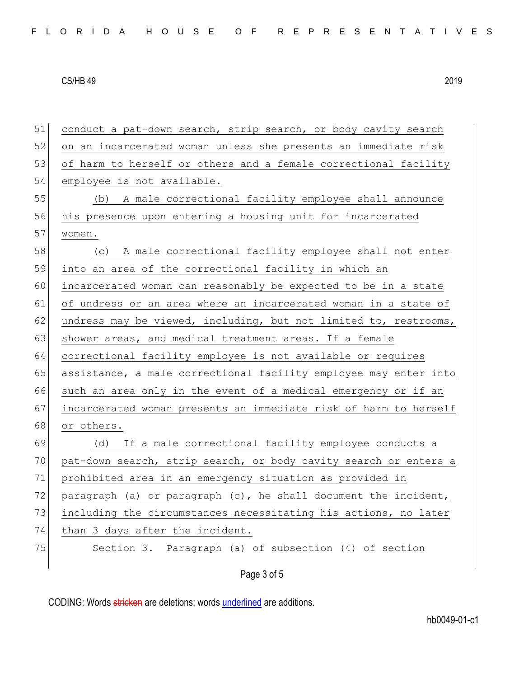| 51 | conduct a pat-down search, strip search, or body cavity search   |
|----|------------------------------------------------------------------|
| 52 | on an incarcerated woman unless she presents an immediate risk   |
| 53 | of harm to herself or others and a female correctional facility  |
| 54 | employee is not available.                                       |
| 55 | (b) A male correctional facility employee shall announce         |
| 56 | his presence upon entering a housing unit for incarcerated       |
| 57 | women.                                                           |
| 58 | (c) A male correctional facility employee shall not enter        |
| 59 | into an area of the correctional facility in which an            |
| 60 | incarcerated woman can reasonably be expected to be in a state   |
| 61 | of undress or an area where an incarcerated woman in a state of  |
| 62 | undress may be viewed, including, but not limited to, restrooms, |
| 63 | shower areas, and medical treatment areas. If a female           |
| 64 | correctional facility employee is not available or requires      |
| 65 | assistance, a male correctional facility employee may enter into |
| 66 | such an area only in the event of a medical emergency or if an   |
| 67 | incarcerated woman presents an immediate risk of harm to herself |
| 68 | or others.                                                       |
| 69 | (d) If a male correctional facility employee conducts a          |
| 70 | pat-down search, strip search, or body cavity search or enters a |
| 71 | prohibited area in an emergency situation as provided in         |
| 72 | paragraph (a) or paragraph (c), he shall document the incident,  |
| 73 | including the circumstances necessitating his actions, no later  |
| 74 | than 3 days after the incident.                                  |
| 75 | Section 3. Paragraph (a) of subsection (4) of section            |
|    | Page 3 of 5                                                      |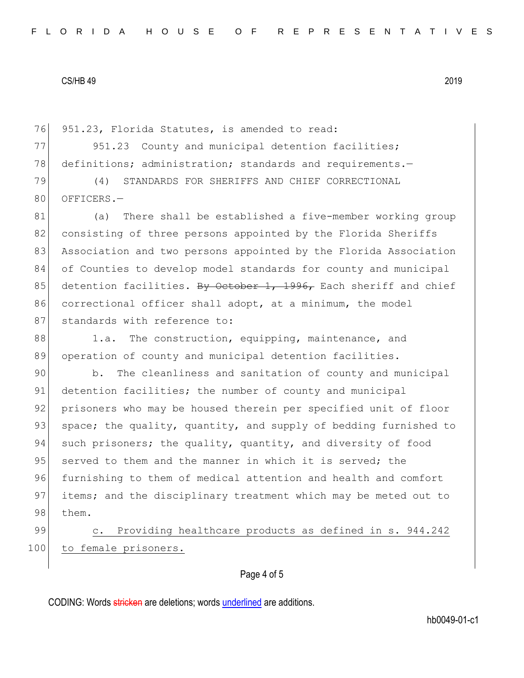76 951.23, Florida Statutes, is amended to read:

77 951.23 County and municipal detention facilities; 78 definitions; administration; standards and requirements.-

79 (4) STANDARDS FOR SHERIFFS AND CHIEF CORRECTIONAL 80 OFFICERS.-

81 (a) There shall be established a five-member working group 82 consisting of three persons appointed by the Florida Sheriffs 83 Association and two persons appointed by the Florida Association 84 of Counties to develop model standards for county and municipal 85 detention facilities. By October 1, 1996, Each sheriff and chief 86 correctional officer shall adopt, at a minimum, the model 87 standards with reference to:

88 1.a. The construction, equipping, maintenance, and 89 operation of county and municipal detention facilities.

90 b. The cleanliness and sanitation of county and municipal 91 detention facilities; the number of county and municipal 92 prisoners who may be housed therein per specified unit of floor 93 space; the quality, quantity, and supply of bedding furnished to 94 such prisoners; the quality, quantity, and diversity of food 95 served to them and the manner in which it is served; the 96 furnishing to them of medical attention and health and comfort 97 items; and the disciplinary treatment which may be meted out to 98 them.

99 c. Providing healthcare products as defined in s. 944.242 100 to female prisoners.

### Page 4 of 5